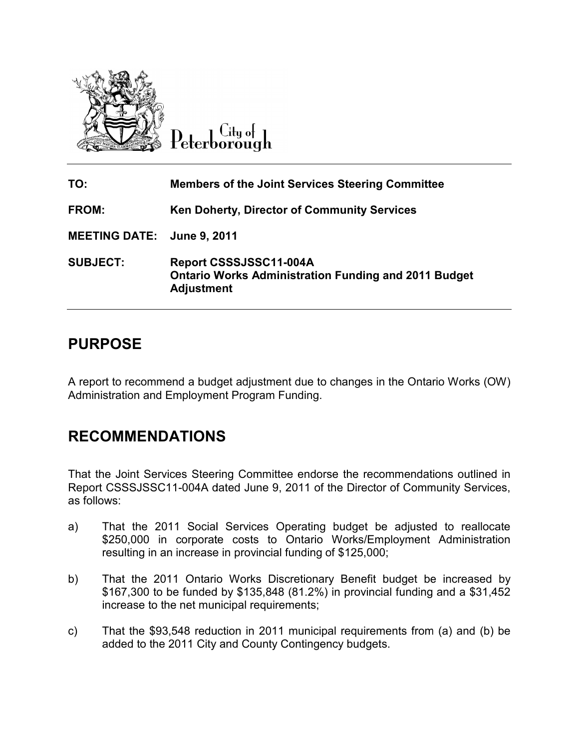

 $C$ ity of Peterborough

| TO:                        | <b>Members of the Joint Services Steering Committee</b>                                                    |
|----------------------------|------------------------------------------------------------------------------------------------------------|
| FROM:                      | <b>Ken Doherty, Director of Community Services</b>                                                         |
| MEETING DATE: June 9, 2011 |                                                                                                            |
| <b>SUBJECT:</b>            | Report CSSSJSSC11-004A<br><b>Ontario Works Administration Funding and 2011 Budget</b><br><b>Adjustment</b> |

# **PURPOSE**

A report to recommend a budget adjustment due to changes in the Ontario Works (OW) Administration and Employment Program Funding. Administration and

## **RECOMMENDATIONS RECOMMENDATIONS**

That the Joint Services Steering Committee endorse the recommendations outlined in Report CSSSJSSC11-004A dated June 9, 2011 of the Director of Community Services, as follows: **COMBIG MORE CONTRONT CONTROL CONTROL CONTROL CONTROL CONTROL CONTROL CONTROL CONTROLLY Adjustment due to changes in the Ontario Works<br>
SE<br>
SE<br>
IMENDATIONS<br>
COMENDATIONS<br>
COMENTIONS<br>
COMENTIONS<br>
COMENTIONS<br>
COMENTIONS<br>
THE** 

- a) That the 2011 Social Services Operating budget be adjusted to reallocate \$250,000 in corporate costs to Ontario Works/Employment Administration resulting in an increase in provincial funding of \$125,000; That the Joint Services Steering Committee endorse the recommendations outlined in<br>Report CSSSJSSC11-004A dated June 9, 2011 of the Director of Community Services,<br>as follows:<br>a) That the 2011 Social Services Operating bud
- b) That the 2011 Ontario Works Discretionary Benefit budget be increased by \$167,300 to be funded by \$135,848 (81.2%) in provincial funding and a \$31,452 increase to the net municipal requirements;
- c) That the \$93,548 reduction in 2011 municipal requirements from (a) and (b) be added to the 2011 City and County Contingency budgets.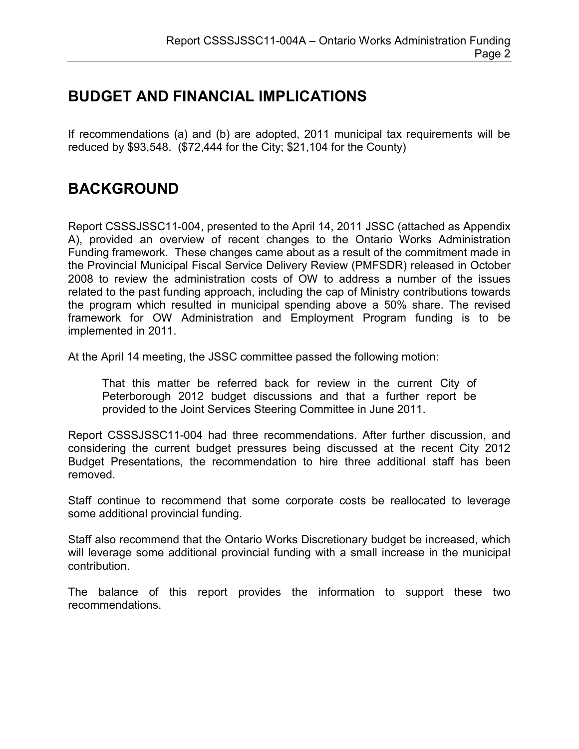## **BUDGET AND FINANCIAL IMPLICATIONS**

If recommendations (a) and (b) are adopted, 2011 municipal tax requirements will be reduced by \$93,548. (\$72,444 for the City; \$21,104 for the County)

# **BACKGROUND**

Report CSSSJSSC11-004, presented to the April 14, 2011 JSSC (attached as Appendix A), provided an overview of recent changes to the Ontario Works Administration Funding framework. These changes came about as a result of the commitment made in the Provincial Municipal Fiscal Service Delivery Review (PMFSDR) released in October 2008 to review the administration costs of OW to address a number of the issues related to the past funding approach, including the cap of Ministry contributions towards the program which resulted in municipal spending above a 50% share. The revised framework for OW Administration and Employment Program funding is to be implemented in 2011.

At the April 14 meeting, the JSSC committee passed the following motion:

That this matter be referred back for review in the current City of Peterborough 2012 budget discussions and that a further report be provided to the Joint Services Steering Committee in June 2011.

Report CSSSJSSC11-004 had three recommendations. After further discussion, and considering the current budget pressures being discussed at the recent City 2012 Budget Presentations, the recommendation to hire three additional staff has been removed.

Staff continue to recommend that some corporate costs be reallocated to leverage some additional provincial funding.

Staff also recommend that the Ontario Works Discretionary budget be increased, which will leverage some additional provincial funding with a small increase in the municipal contribution.

The balance of this report provides the information to support these two recommendations.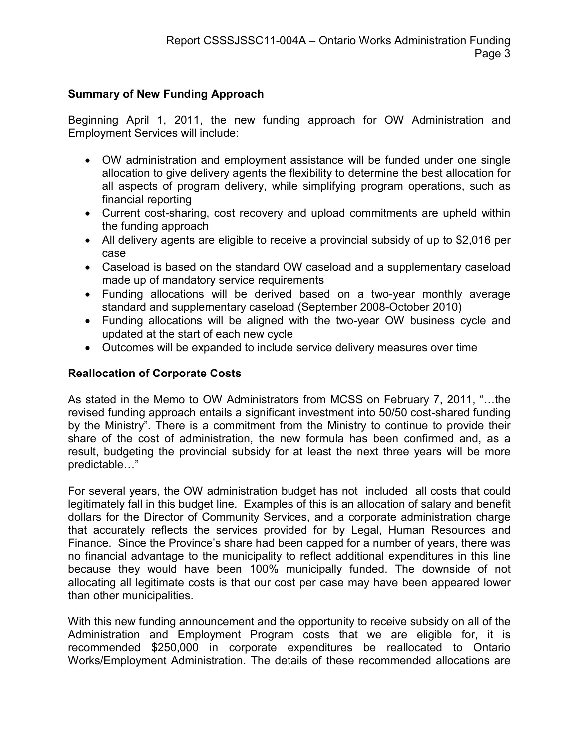## **Summary of New Funding Approach**

Beginning April 1, 2011, the new funding approach for OW Administration and Employment Services will include:

- OW administration and employment assistance will be funded under one single allocation to give delivery agents the flexibility to determine the best allocation for all aspects of program delivery, while simplifying program operations, such as financial reporting
- Current cost-sharing, cost recovery and upload commitments are upheld within the funding approach
- All delivery agents are eligible to receive a provincial subsidy of up to \$2,016 per case
- Caseload is based on the standard OW caseload and a supplementary caseload made up of mandatory service requirements
- Funding allocations will be derived based on a two-year monthly average standard and supplementary caseload (September 2008-October 2010)
- Funding allocations will be aligned with the two-year OW business cycle and updated at the start of each new cycle
- Outcomes will be expanded to include service delivery measures over time

## **Reallocation of Corporate Costs**

As stated in the Memo to OW Administrators from MCSS on February 7, 2011, "…the revised funding approach entails a significant investment into 50/50 cost-shared funding by the Ministry". There is a commitment from the Ministry to continue to provide their share of the cost of administration, the new formula has been confirmed and, as a result, budgeting the provincial subsidy for at least the next three years will be more predictable…"

For several years, the OW administration budget has not included all costs that could legitimately fall in this budget line. Examples of this is an allocation of salary and benefit dollars for the Director of Community Services, and a corporate administration charge that accurately reflects the services provided for by Legal, Human Resources and Finance. Since the Province's share had been capped for a number of years, there was no financial advantage to the municipality to reflect additional expenditures in this line because they would have been 100% municipally funded. The downside of not allocating all legitimate costs is that our cost per case may have been appeared lower than other municipalities.

With this new funding announcement and the opportunity to receive subsidy on all of the Administration and Employment Program costs that we are eligible for, it is recommended \$250,000 in corporate expenditures be reallocated to Ontario Works/Employment Administration. The details of these recommended allocations are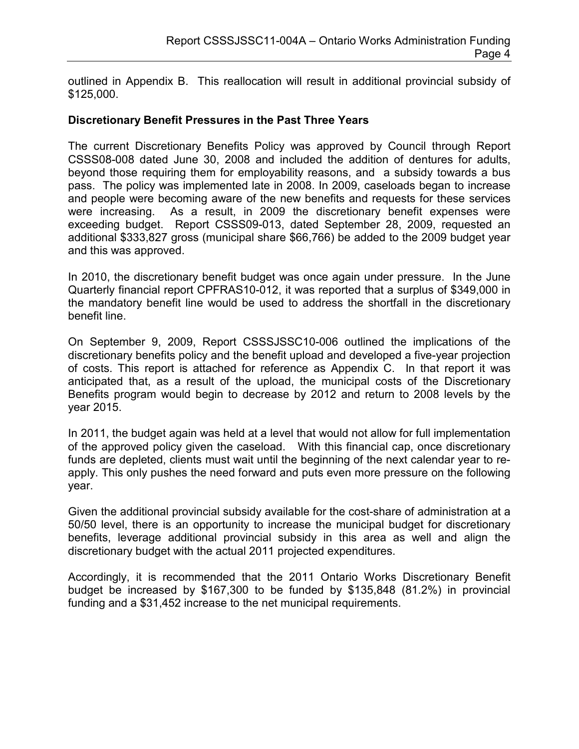outlined in Appendix B. This reallocation will result in additional provincial subsidy of \$125,000.

#### **Discretionary Benefit Pressures in the Past Three Years**

The current Discretionary Benefits Policy was approved by Council through Report CSSS08-008 dated June 30, 2008 and included the addition of dentures for adults, beyond those requiring them for employability reasons, and a subsidy towards a bus pass. The policy was implemented late in 2008. In 2009, caseloads began to increase and people were becoming aware of the new benefits and requests for these services were increasing. As a result, in 2009 the discretionary benefit expenses were exceeding budget. Report CSSS09-013, dated September 28, 2009, requested an additional \$333,827 gross (municipal share \$66,766) be added to the 2009 budget year and this was approved.

In 2010, the discretionary benefit budget was once again under pressure. In the June Quarterly financial report CPFRAS10-012, it was reported that a surplus of \$349,000 in the mandatory benefit line would be used to address the shortfall in the discretionary benefit line.

On September 9, 2009, Report CSSSJSSC10-006 outlined the implications of the discretionary benefits policy and the benefit upload and developed a five-year projection of costs. This report is attached for reference as Appendix C. In that report it was anticipated that, as a result of the upload, the municipal costs of the Discretionary Benefits program would begin to decrease by 2012 and return to 2008 levels by the year 2015.

In 2011, the budget again was held at a level that would not allow for full implementation of the approved policy given the caseload. With this financial cap, once discretionary funds are depleted, clients must wait until the beginning of the next calendar year to reapply. This only pushes the need forward and puts even more pressure on the following year.

Given the additional provincial subsidy available for the cost-share of administration at a 50/50 level, there is an opportunity to increase the municipal budget for discretionary benefits, leverage additional provincial subsidy in this area as well and align the discretionary budget with the actual 2011 projected expenditures.

Accordingly, it is recommended that the 2011 Ontario Works Discretionary Benefit budget be increased by \$167,300 to be funded by \$135,848 (81.2%) in provincial funding and a \$31,452 increase to the net municipal requirements.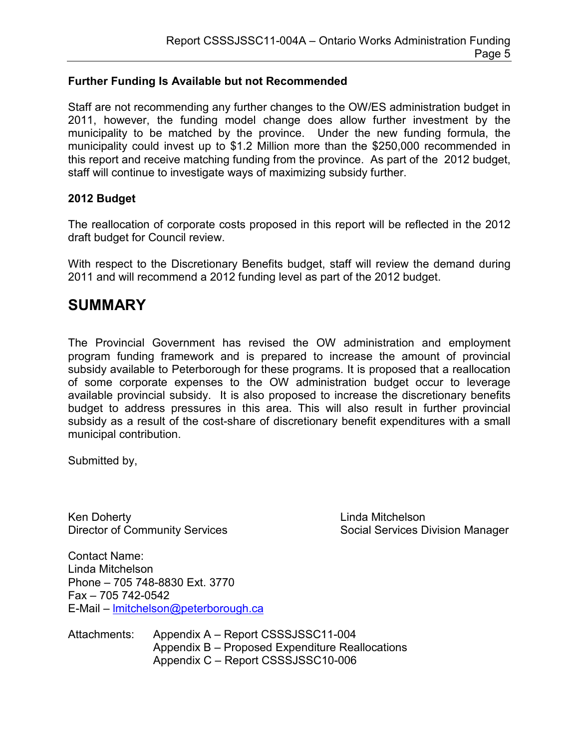## **Further Funding Is Available but not Recommended**

Staff are not recommending any further changes to the OW/ES administration budget in 2011, however, the funding model change does allow further investment by the municipality to be matched by the province. Under the new funding formula, the municipality could invest up to \$1.2 Million more than the \$250,000 recommended in this report and receive matching funding from the province. As part of the 2012 budget, staff will continue to investigate ways of maximizing subsidy further.

## **2012 Budget**

The reallocation of corporate costs proposed in this report will be reflected in the 2012 draft budget for Council review.

With respect to the Discretionary Benefits budget, staff will review the demand during 2011 and will recommend a 2012 funding level as part of the 2012 budget.

## **SUMMARY**

The Provincial Government has revised the OW administration and employment program funding framework and is prepared to increase the amount of provincial subsidy available to Peterborough for these programs. It is proposed that a reallocation of some corporate expenses to the OW administration budget occur to leverage available provincial subsidy. It is also proposed to increase the discretionary benefits budget to address pressures in this area. This will also result in further provincial subsidy as a result of the cost-share of discretionary benefit expenditures with a small municipal contribution.

Submitted by,

Ken Doherty **Linda Mitchelson** 

Director of Community Services Social Services Division Manager

Contact Name: Linda Mitchelson Phone – 705 748-8830 Ext. 3770 Fax – 705 742-0542 E-Mail – [lmitchelson@peterborough.ca](mailto:lmitchelson@peterborough.ca)

Attachments: Appendix A – Report CSSSJSSC11-004 Appendix B – Proposed Expenditure Reallocations Appendix C – Report CSSSJSSC10-006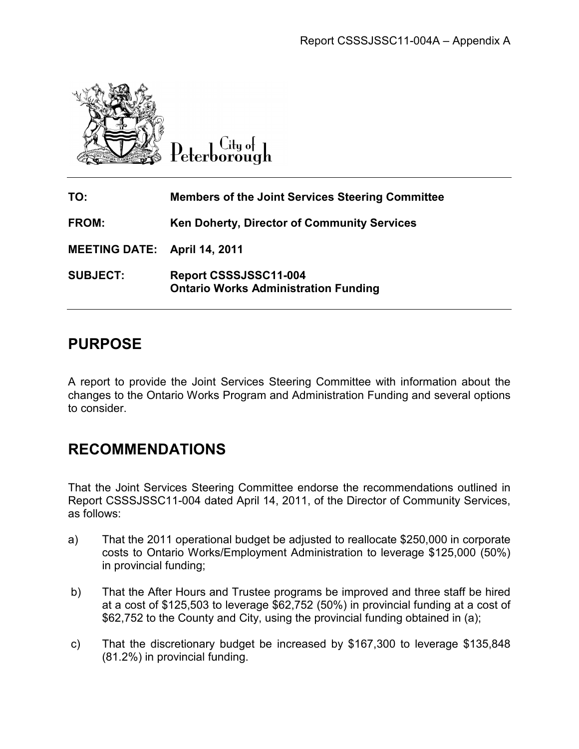

|               |                                                                                         | Report CSSSJSSC11-004A - Appendix A                                                                                                                                                                                                                      |  |  |  |  |
|---------------|-----------------------------------------------------------------------------------------|----------------------------------------------------------------------------------------------------------------------------------------------------------------------------------------------------------------------------------------------------------|--|--|--|--|
|               |                                                                                         | Peterborough                                                                                                                                                                                                                                             |  |  |  |  |
| TO:           |                                                                                         | <b>Members of the Joint Services Steering Committee</b>                                                                                                                                                                                                  |  |  |  |  |
| <b>FROM:</b>  |                                                                                         | <b>Ken Doherty, Director of Community Services</b>                                                                                                                                                                                                       |  |  |  |  |
|               |                                                                                         | <b>MEETING DATE: April 14, 2011</b>                                                                                                                                                                                                                      |  |  |  |  |
|               | <b>SUBJECT:</b><br>Report CSSSJSSC11-004<br><b>Ontario Works Administration Funding</b> |                                                                                                                                                                                                                                                          |  |  |  |  |
|               | <b>PURPOSE</b>                                                                          |                                                                                                                                                                                                                                                          |  |  |  |  |
|               | to consider.                                                                            | A report to provide the Joint Services Steering Committee with information about the<br>changes to the Ontario Works Program and Administration Funding and several options                                                                              |  |  |  |  |
|               | <b>RECOMMENDATIONS</b>                                                                  |                                                                                                                                                                                                                                                          |  |  |  |  |
| as follows:   |                                                                                         | That the Joint Services Steering Committee endorse the recommendations outlined in<br>Report CSSSJSSC11-004 dated April 14, 2011, of the Director of Community Services,                                                                                 |  |  |  |  |
| a)            | in provincial funding;                                                                  | That the 2011 operational budget be adjusted to reallocate \$250,000 in corporate<br>costs to Ontario Works/Employment Administration to leverage \$125,000 (50%)                                                                                        |  |  |  |  |
| b)            |                                                                                         | That the After Hours and Trustee programs be improved and three staff be hired<br>at a cost of \$125,503 to leverage \$62,752 (50%) in provincial funding at a cost of<br>\$62,752 to the County and City, using the provincial funding obtained in (a); |  |  |  |  |
| $\mathsf{c})$ |                                                                                         | That the discretionary budget be increased by \$167,300 to leverage \$135,848<br>(81.2%) in provincial funding.                                                                                                                                          |  |  |  |  |

# **PURPOSE**

# **RECOMMENDATIONS RECOMMENDATIONS**

- a) That the 2011 operational budget be adjusted to reallocate \$250,000 in corporate costs to Ontario Works/Employment Administration to leverage \$125, in provincial funding; CSSSJSSC11-004 dated April 14, 2011, of the Director of Community Services,<br>
ws:<br>
That the 2011 operational budget be adjusted to reallocate \$250,000 in corporate<br>
costs to Ontario Works/Employment Administration to levera
- b) That the After Hours and Trustee programs be improved and three staff be hired at a cost of \$125,503 to leverage \$62,752 (50%) in provincial funding at a cost of \$62,752 to the County and City, using the provincial fund ing obtained in That the After Hours and Trustee programs be improved and three staff be<br>at a cost of \$125,503 to leverage \$62,752 (50%) in provincial funding at a c<br>\$62,752 to the County and City, using the provincial funding obtained in
- c) That the discretionary budget be increased by \$167,300 to leverage \$135,848 (81.2%) in provincial funding.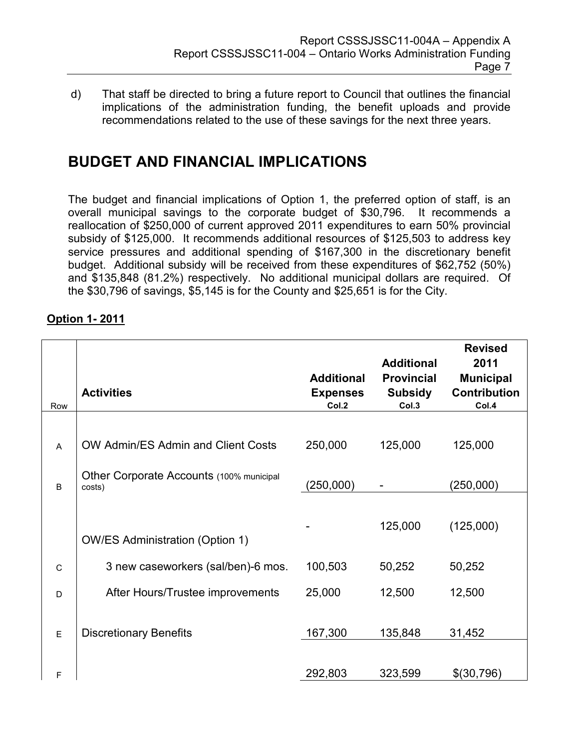d) That staff be directed to bring a future report to Council that outlines the financial implications of the administration funding, the benefit uploads and provide recommendations related to the use of these savings for the next three years.

# **BUDGET AND FINANCIAL IMPLICATIONS**

The budget and financial implications of Option 1, the preferred option of staff, is an overall municipal savings to the corporate budget of \$30,796. It recommends a reallocation of \$250,000 of current approved 2011 expenditures to earn 50% provincial subsidy of \$125,000. It recommends additional resources of \$125,503 to address key service pressures and additional spending of \$167,300 in the discretionary benefit budget. Additional subsidy will be received from these expenditures of \$62,752 (50%) and \$135,848 (81.2%) respectively. No additional municipal dollars are required. Of the \$30,796 of savings, \$5,145 is for the County and \$25,651 is for the City.

| Row          | <b>Activities</b>                                  | <b>Additional</b><br><b>Expenses</b><br>Col.2 | <b>Additional</b><br><b>Provincial</b><br><b>Subsidy</b><br>Col.3 | <b>Revised</b><br>2011<br><b>Municipal</b><br><b>Contribution</b><br>Col.4 |
|--------------|----------------------------------------------------|-----------------------------------------------|-------------------------------------------------------------------|----------------------------------------------------------------------------|
|              |                                                    |                                               |                                                                   |                                                                            |
| A            | OW Admin/ES Admin and Client Costs                 | 250,000                                       | 125,000                                                           | 125,000                                                                    |
| B            | Other Corporate Accounts (100% municipal<br>costs) | (250,000)                                     |                                                                   | (250,000)                                                                  |
|              | <b>OW/ES Administration (Option 1)</b>             |                                               | 125,000                                                           | (125,000)                                                                  |
| $\mathsf{C}$ | 3 new caseworkers (sal/ben)-6 mos.                 | 100,503                                       | 50,252                                                            | 50,252                                                                     |
| D            | After Hours/Trustee improvements                   | 25,000                                        | 12,500                                                            | 12,500                                                                     |
| E            | <b>Discretionary Benefits</b>                      | 167,300                                       | 135,848                                                           | 31,452                                                                     |
| F            |                                                    | 292,803                                       | 323,599                                                           | \$(30,796)                                                                 |

## **Option 1- 2011**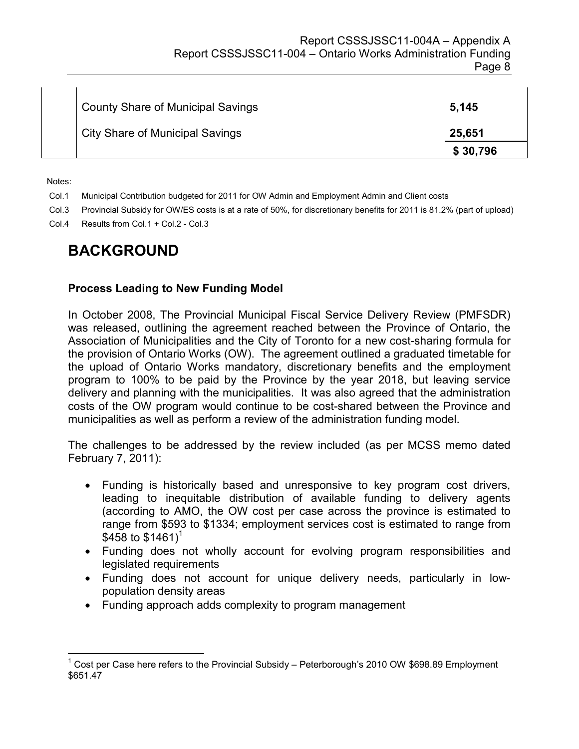| <b>County Share of Municipal Savings</b> | 5,145    |
|------------------------------------------|----------|
| <b>City Share of Municipal Savings</b>   | 25,651   |
|                                          | \$30,796 |

Notes:

 $\overline{a}$ 

- Col.1 Municipal Contribution budgeted for 2011 for OW Admin and Employment Admin and Client costs
- Col.3 Provincial Subsidy for OW/ES costs is at a rate of 50%, for discretionary benefits for 2011 is 81.2% (part of upload)
- Col.4 Results from Col.1 + Col.2 Col.3

## **BACKGROUND**

#### **Process Leading to New Funding Model**

In October 2008, The Provincial Municipal Fiscal Service Delivery Review (PMFSDR) was released, outlining the agreement reached between the Province of Ontario, the Association of Municipalities and the City of Toronto for a new cost-sharing formula for the provision of Ontario Works (OW). The agreement outlined a graduated timetable for the upload of Ontario Works mandatory, discretionary benefits and the employment program to 100% to be paid by the Province by the year 2018, but leaving service delivery and planning with the municipalities. It was also agreed that the administration costs of the OW program would continue to be cost-shared between the Province and municipalities as well as perform a review of the administration funding model.

The challenges to be addressed by the review included (as per MCSS memo dated February 7, 2011):

- Funding is historically based and unresponsive to key program cost drivers, leading to inequitable distribution of available funding to delivery agents (according to AMO, the OW cost per case across the province is estimated to range from \$593 to \$1334; employment services cost is estimated to range from \$458 to  $$1461$ <sup>1</sup>
- Funding does not wholly account for evolving program responsibilities and legislated requirements
- Funding does not account for unique delivery needs, particularly in lowpopulation density areas
- Funding approach adds complexity to program management

<sup>&</sup>lt;sup>1</sup> Cost per Case here refers to the Provincial Subsidy – Peterborough's 2010 OW \$698.89 Employment \$651.47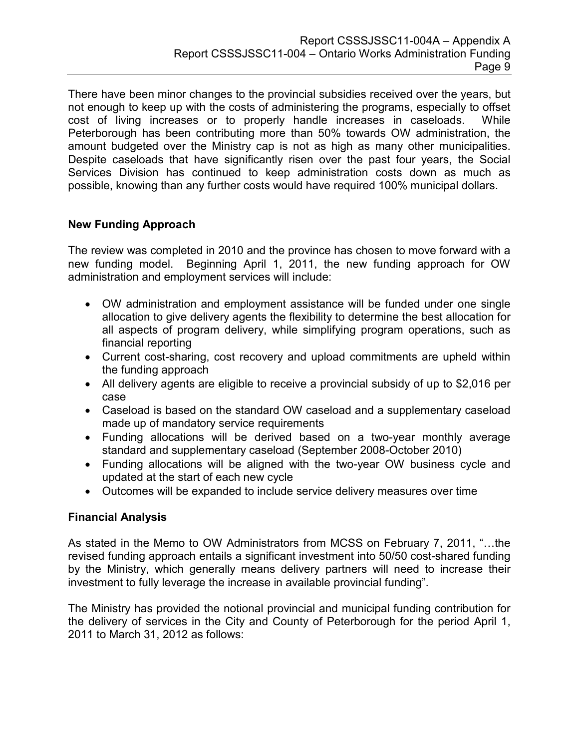There have been minor changes to the provincial subsidies received over the years, but not enough to keep up with the costs of administering the programs, especially to offset cost of living increases or to properly handle increases in caseloads. While Peterborough has been contributing more than 50% towards OW administration, the amount budgeted over the Ministry cap is not as high as many other municipalities. Despite caseloads that have significantly risen over the past four years, the Social Services Division has continued to keep administration costs down as much as possible, knowing than any further costs would have required 100% municipal dollars.

### **New Funding Approach**

The review was completed in 2010 and the province has chosen to move forward with a new funding model. Beginning April 1, 2011, the new funding approach for OW administration and employment services will include:

- OW administration and employment assistance will be funded under one single allocation to give delivery agents the flexibility to determine the best allocation for all aspects of program delivery, while simplifying program operations, such as financial reporting
- Current cost-sharing, cost recovery and upload commitments are upheld within the funding approach
- All delivery agents are eligible to receive a provincial subsidy of up to \$2,016 per case
- Caseload is based on the standard OW caseload and a supplementary caseload made up of mandatory service requirements
- Funding allocations will be derived based on a two-year monthly average standard and supplementary caseload (September 2008-October 2010)
- Funding allocations will be aligned with the two-year OW business cycle and updated at the start of each new cycle
- Outcomes will be expanded to include service delivery measures over time

## **Financial Analysis**

As stated in the Memo to OW Administrators from MCSS on February 7, 2011, "…the revised funding approach entails a significant investment into 50/50 cost-shared funding by the Ministry, which generally means delivery partners will need to increase their investment to fully leverage the increase in available provincial funding".

The Ministry has provided the notional provincial and municipal funding contribution for the delivery of services in the City and County of Peterborough for the period April 1, 2011 to March 31, 2012 as follows: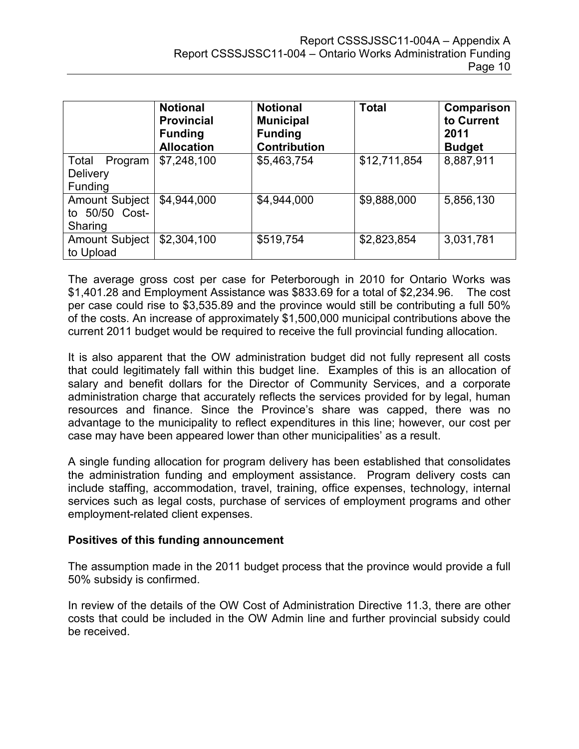|                                                       | <b>Notional</b><br><b>Provincial</b><br><b>Funding</b><br><b>Allocation</b> | <b>Notional</b><br><b>Municipal</b><br><b>Funding</b><br><b>Contribution</b> | <b>Total</b> | Comparison<br>to Current<br>2011<br><b>Budget</b> |
|-------------------------------------------------------|-----------------------------------------------------------------------------|------------------------------------------------------------------------------|--------------|---------------------------------------------------|
| Total<br>Program<br><b>Delivery</b><br><b>Funding</b> | \$7,248,100                                                                 | \$5,463,754                                                                  | \$12,711,854 | 8,887,911                                         |
| <b>Amount Subject</b><br>to 50/50 Cost-<br>Sharing    | \$4,944,000                                                                 | \$4,944,000                                                                  | \$9,888,000  | 5,856,130                                         |
| <b>Amount Subject</b><br>to Upload                    | \$2,304,100                                                                 | \$519,754                                                                    | \$2,823,854  | 3,031,781                                         |

The average gross cost per case for Peterborough in 2010 for Ontario Works was \$1,401.28 and Employment Assistance was \$833.69 for a total of \$2,234.96. The cost per case could rise to \$3,535.89 and the province would still be contributing a full 50% of the costs. An increase of approximately \$1,500,000 municipal contributions above the current 2011 budget would be required to receive the full provincial funding allocation.

It is also apparent that the OW administration budget did not fully represent all costs that could legitimately fall within this budget line. Examples of this is an allocation of salary and benefit dollars for the Director of Community Services, and a corporate administration charge that accurately reflects the services provided for by legal, human resources and finance. Since the Province's share was capped, there was no advantage to the municipality to reflect expenditures in this line; however, our cost per case may have been appeared lower than other municipalities' as a result.

A single funding allocation for program delivery has been established that consolidates the administration funding and employment assistance. Program delivery costs can include staffing, accommodation, travel, training, office expenses, technology, internal services such as legal costs, purchase of services of employment programs and other employment-related client expenses.

#### **Positives of this funding announcement**

The assumption made in the 2011 budget process that the province would provide a full 50% subsidy is confirmed.

In review of the details of the OW Cost of Administration Directive 11.3, there are other costs that could be included in the OW Admin line and further provincial subsidy could be received.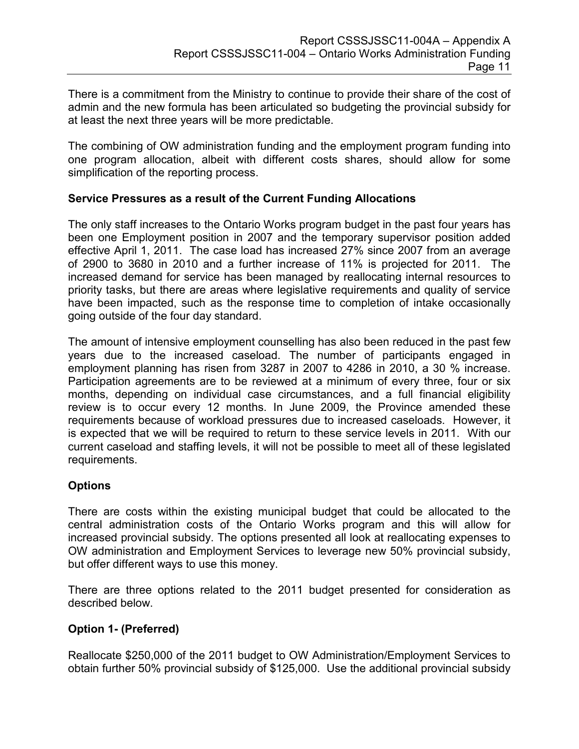There is a commitment from the Ministry to continue to provide their share of the cost of admin and the new formula has been articulated so budgeting the provincial subsidy for at least the next three years will be more predictable.

The combining of OW administration funding and the employment program funding into one program allocation, albeit with different costs shares, should allow for some simplification of the reporting process.

### **Service Pressures as a result of the Current Funding Allocations**

The only staff increases to the Ontario Works program budget in the past four years has been one Employment position in 2007 and the temporary supervisor position added effective April 1, 2011. The case load has increased 27% since 2007 from an average of 2900 to 3680 in 2010 and a further increase of 11% is projected for 2011. The increased demand for service has been managed by reallocating internal resources to priority tasks, but there are areas where legislative requirements and quality of service have been impacted, such as the response time to completion of intake occasionally going outside of the four day standard.

The amount of intensive employment counselling has also been reduced in the past few years due to the increased caseload. The number of participants engaged in employment planning has risen from 3287 in 2007 to 4286 in 2010, a 30 % increase. Participation agreements are to be reviewed at a minimum of every three, four or six months, depending on individual case circumstances, and a full financial eligibility review is to occur every 12 months. In June 2009, the Province amended these requirements because of workload pressures due to increased caseloads. However, it is expected that we will be required to return to these service levels in 2011. With our current caseload and staffing levels, it will not be possible to meet all of these legislated requirements.

#### **Options**

There are costs within the existing municipal budget that could be allocated to the central administration costs of the Ontario Works program and this will allow for increased provincial subsidy. The options presented all look at reallocating expenses to OW administration and Employment Services to leverage new 50% provincial subsidy, but offer different ways to use this money.

There are three options related to the 2011 budget presented for consideration as described below.

## **Option 1- (Preferred)**

Reallocate \$250,000 of the 2011 budget to OW Administration/Employment Services to obtain further 50% provincial subsidy of \$125,000. Use the additional provincial subsidy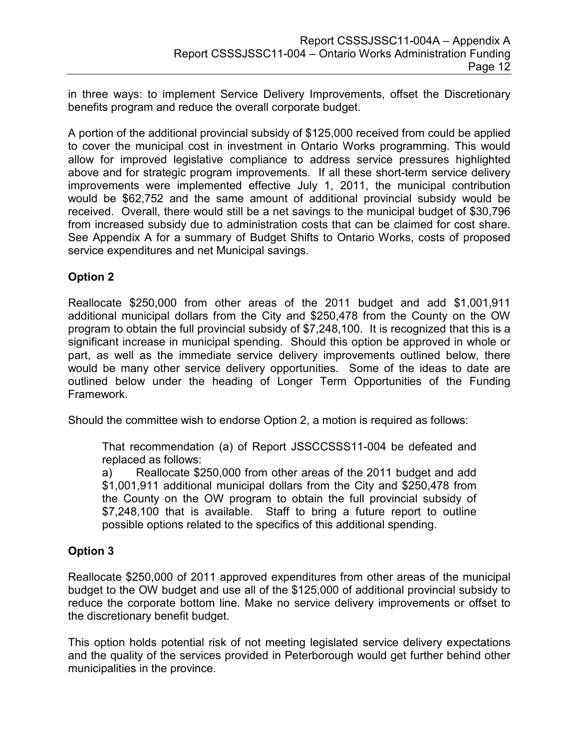in three ways: to implement Service Delivery Improvements, offset the Discretionary benefits program and reduce the overall corporate budget.

A portion of the additional provincial subsidy of \$125,000 received from could be applied to cover the municipal cost in investment in Ontario Works programming. This would allow for improved legislative compliance to address service pressures highlighted above and for strategic program improvements. If all these short-term service delivery improvements were implemented effective July 1, 2011, the municipal contribution would be \$62,752 and the same amount of additional provincial subsidy would be received. Overall, there would still be a net savings to the municipal budget of \$30,796 from increased subsidy due to administration costs that can be claimed for cost share. See Appendix A for a summary of Budget Shifts to Ontario Works, costs of proposed service expenditures and net Municipal savings.

## **Option 2**

Reallocate \$250,000 from other areas of the 2011 budget and add \$1,001,911 additional municipal dollars from the City and \$250,478 from the County on the OW program to obtain the full provincial subsidy of \$7,248,100. It is recognized that this is a significant increase in municipal spending. Should this option be approved in whole or part, as well as the immediate service delivery improvements outlined below, there would be many other service delivery opportunities. Some of the ideas to date are outlined below under the heading of Longer Term Opportunities of the Funding Framework.

Should the committee wish to endorse Option 2, a motion is required as follows:

That recommendation (a) of Report JSSCCSSS11-004 be defeated and replaced as follows:

a) Reallocate \$250,000 from other areas of the 2011 budget and add \$1,001,911 additional municipal dollars from the City and \$250,478 from the County on the OW program to obtain the full provincial subsidy of \$7,248,100 that is available. Staff to bring a future report to outline possible options related to the specifics of this additional spending.

## **Option 3**

Reallocate \$250,000 of 2011 approved expenditures from other areas of the municipal budget to the OW budget and use all of the \$125,000 of additional provincial subsidy to reduce the corporate bottom line. Make no service delivery improvements or offset to the discretionary benefit budget.

This option holds potential risk of not meeting legislated service delivery expectations and the quality of the services provided in Peterborough would get further behind other municipalities in the province.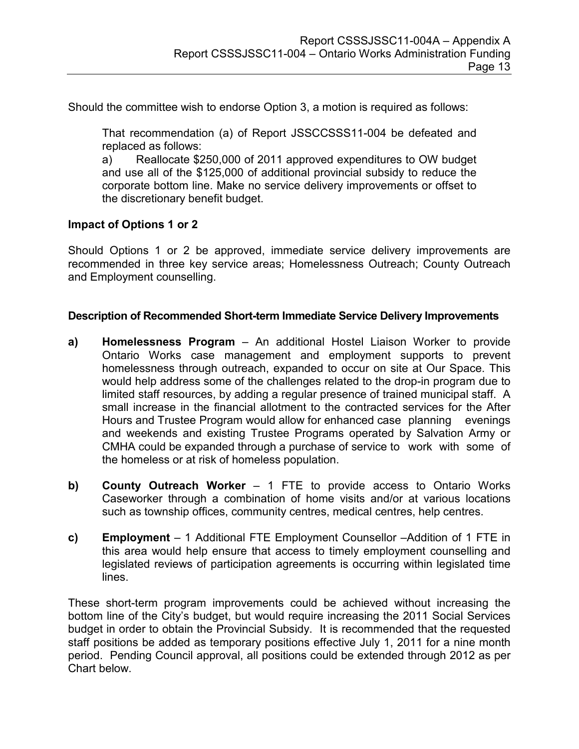Should the committee wish to endorse Option 3, a motion is required as follows:

That recommendation (a) of Report JSSCCSSS11-004 be defeated and replaced as follows:

a) Reallocate \$250,000 of 2011 approved expenditures to OW budget and use all of the \$125,000 of additional provincial subsidy to reduce the corporate bottom line. Make no service delivery improvements or offset to the discretionary benefit budget.

#### **Impact of Options 1 or 2**

Should Options 1 or 2 be approved, immediate service delivery improvements are recommended in three key service areas; Homelessness Outreach; County Outreach and Employment counselling.

#### **Description of Recommended Short-term Immediate Service Delivery Improvements**

- **a) Homelessness Program** An additional Hostel Liaison Worker to provide Ontario Works case management and employment supports to prevent homelessness through outreach, expanded to occur on site at Our Space. This would help address some of the challenges related to the drop-in program due to limited staff resources, by adding a regular presence of trained municipal staff. A small increase in the financial allotment to the contracted services for the After Hours and Trustee Program would allow for enhanced case planning evenings and weekends and existing Trustee Programs operated by Salvation Army or CMHA could be expanded through a purchase of service to work with some of the homeless or at risk of homeless population.
- **b) County Outreach Worker** 1 FTE to provide access to Ontario Works Caseworker through a combination of home visits and/or at various locations such as township offices, community centres, medical centres, help centres.
- **c) Employment** 1 Additional FTE Employment Counsellor –Addition of 1 FTE in this area would help ensure that access to timely employment counselling and legislated reviews of participation agreements is occurring within legislated time lines.

These short-term program improvements could be achieved without increasing the bottom line of the City's budget, but would require increasing the 2011 Social Services budget in order to obtain the Provincial Subsidy. It is recommended that the requested staff positions be added as temporary positions effective July 1, 2011 for a nine month period. Pending Council approval, all positions could be extended through 2012 as per Chart below.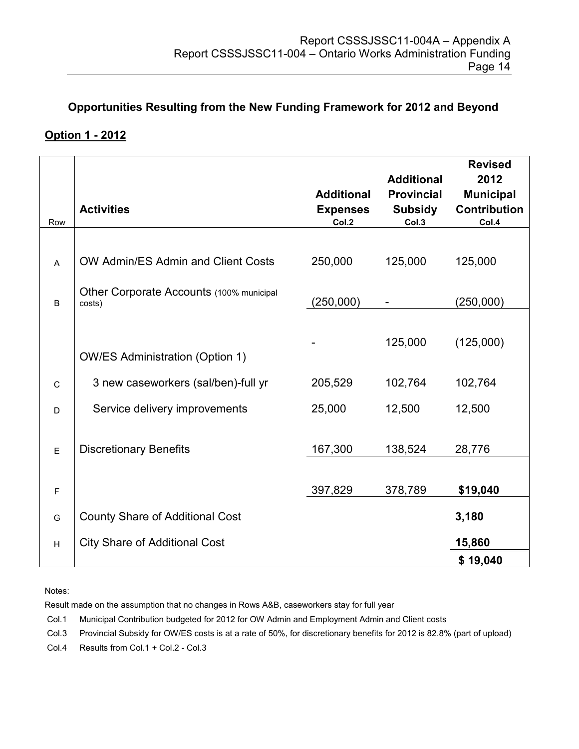## **Opportunities Resulting from the New Funding Framework for 2012 and Beyond**

## **Option 1 - 2012**

| Row                       | <b>Activities</b>                                  | <b>Additional</b><br><b>Expenses</b><br>Col.2 | <b>Additional</b><br><b>Provincial</b><br><b>Subsidy</b><br>Col.3 | <b>Revised</b><br>2012<br><b>Municipal</b><br><b>Contribution</b><br>Col.4 |
|---------------------------|----------------------------------------------------|-----------------------------------------------|-------------------------------------------------------------------|----------------------------------------------------------------------------|
|                           |                                                    |                                               |                                                                   |                                                                            |
| A                         | OW Admin/ES Admin and Client Costs                 | 250,000                                       | 125,000                                                           | 125,000                                                                    |
| B                         | Other Corporate Accounts (100% municipal<br>costs) | (250,000)                                     |                                                                   | (250,000)                                                                  |
|                           |                                                    |                                               |                                                                   |                                                                            |
|                           |                                                    |                                               | 125,000                                                           | (125,000)                                                                  |
|                           | <b>OW/ES Administration (Option 1)</b>             |                                               |                                                                   |                                                                            |
| $\mathsf{C}$              | 3 new caseworkers (sal/ben)-full yr                | 205,529                                       | 102,764                                                           | 102,764                                                                    |
| D                         | Service delivery improvements                      | 25,000                                        | 12,500                                                            | 12,500                                                                     |
|                           |                                                    |                                               |                                                                   |                                                                            |
| E                         | <b>Discretionary Benefits</b>                      | 167,300                                       | 138,524                                                           | 28,776                                                                     |
|                           |                                                    |                                               |                                                                   |                                                                            |
| $\mathsf F$               |                                                    | 397,829                                       | 378,789                                                           | \$19,040                                                                   |
| G                         | <b>County Share of Additional Cost</b>             |                                               |                                                                   | 3,180                                                                      |
| $\boldsymbol{\mathsf{H}}$ | <b>City Share of Additional Cost</b>               |                                               |                                                                   | 15,860                                                                     |
|                           |                                                    |                                               |                                                                   | \$19,040                                                                   |

Notes:

Result made on the assumption that no changes in Rows A&B, caseworkers stay for full year

Col.1 Municipal Contribution budgeted for 2012 for OW Admin and Employment Admin and Client costs

Col.3 Provincial Subsidy for OW/ES costs is at a rate of 50%, for discretionary benefits for 2012 is 82.8% (part of upload)

Col.4 Results from Col.1 + Col.2 - Col.3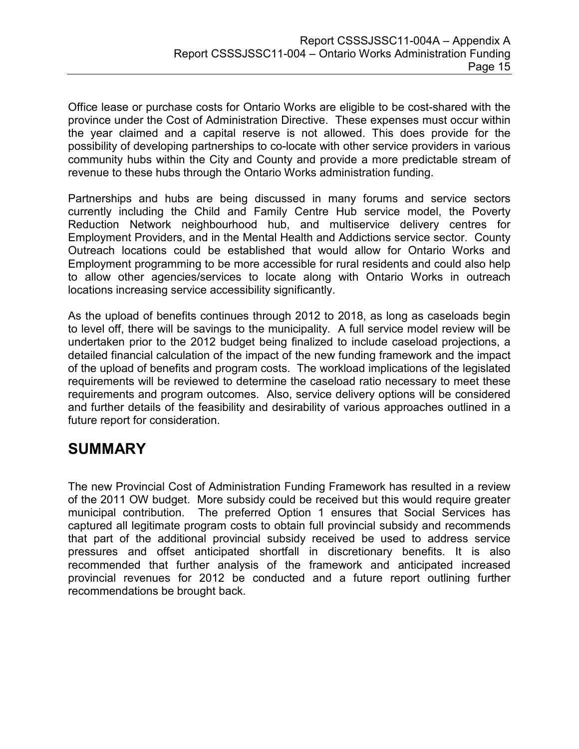Office lease or purchase costs for Ontario Works are eligible to be cost-shared with the province under the Cost of Administration Directive. These expenses must occur within the year claimed and a capital reserve is not allowed. This does provide for the possibility of developing partnerships to co-locate with other service providers in various community hubs within the City and County and provide a more predictable stream of revenue to these hubs through the Ontario Works administration funding.

Partnerships and hubs are being discussed in many forums and service sectors currently including the Child and Family Centre Hub service model, the Poverty Reduction Network neighbourhood hub, and multiservice delivery centres for Employment Providers, and in the Mental Health and Addictions service sector. County Outreach locations could be established that would allow for Ontario Works and Employment programming to be more accessible for rural residents and could also help to allow other agencies/services to locate along with Ontario Works in outreach locations increasing service accessibility significantly.

As the upload of benefits continues through 2012 to 2018, as long as caseloads begin to level off, there will be savings to the municipality. A full service model review will be undertaken prior to the 2012 budget being finalized to include caseload projections, a detailed financial calculation of the impact of the new funding framework and the impact of the upload of benefits and program costs. The workload implications of the legislated requirements will be reviewed to determine the caseload ratio necessary to meet these requirements and program outcomes. Also, service delivery options will be considered and further details of the feasibility and desirability of various approaches outlined in a future report for consideration.

## **SUMMARY**

The new Provincial Cost of Administration Funding Framework has resulted in a review of the 2011 OW budget. More subsidy could be received but this would require greater municipal contribution. The preferred Option 1 ensures that Social Services has captured all legitimate program costs to obtain full provincial subsidy and recommends that part of the additional provincial subsidy received be used to address service pressures and offset anticipated shortfall in discretionary benefits. It is also recommended that further analysis of the framework and anticipated increased provincial revenues for 2012 be conducted and a future report outlining further recommendations be brought back.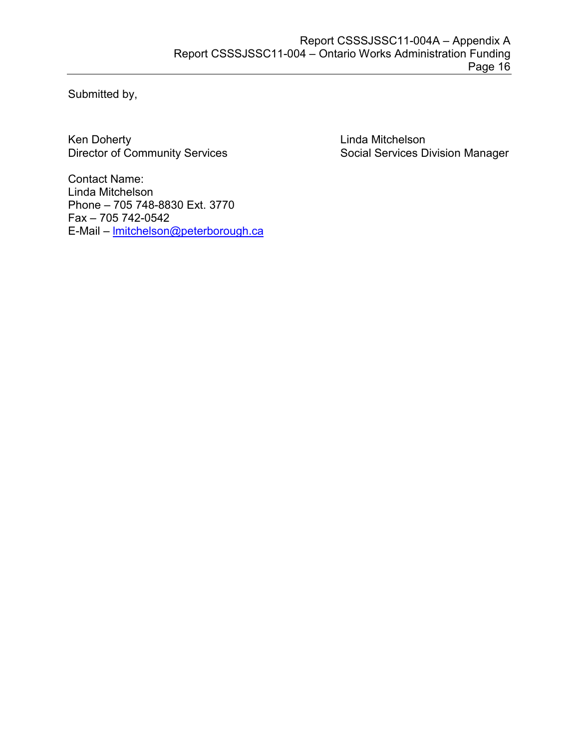Submitted by,

Ken Doherty<br>
Director of Community Services<br>
Contain Social Services<br>
Director of Community Services<br>
Contains the Social Services<br>
Director of Community Services

Social Services Division Manager

Contact Name: Linda Mitchelson Phone – 705 748-8830 Ext. 3770 Fax – 705 742-0542 E-Mail – [lmitchelson@peterborough.ca](mailto:lmitchelson@peterborough.ca)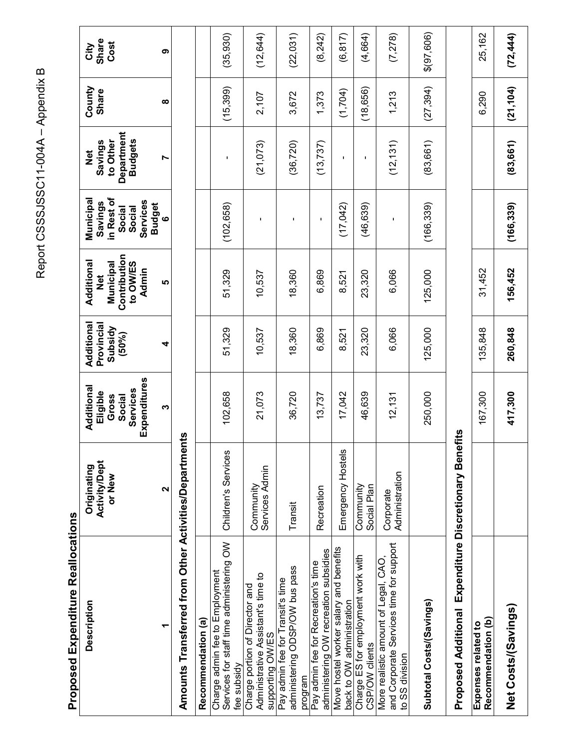Report CSSSJSSC11-004A - Appendix B Report CSSSJSSC11-004A – Appendix B

> **Proposed Expenditure Reallocations Proposed Expenditure Reallocations**

| <b>Description</b>                                                                                | <b>Activity/Dept</b><br>Originating<br>or New | Expenditures<br>Additional<br>Services<br>Eligible<br>Gross<br>Social | Additional<br>Provincial<br>Subsidy<br>$(50\%)$ | Contribution<br>Additional<br>Municipal<br>to OW/ES<br>Admin<br><b>Del</b> | in Rest of<br>Municipal<br>Services<br>Savings<br>Social<br>Social | Department<br><b>Budgets</b><br>to Other<br>Savings<br>$\frac{1}{2}$ | County<br>Share | Share<br>Cost<br>City |
|---------------------------------------------------------------------------------------------------|-----------------------------------------------|-----------------------------------------------------------------------|-------------------------------------------------|----------------------------------------------------------------------------|--------------------------------------------------------------------|----------------------------------------------------------------------|-----------------|-----------------------|
|                                                                                                   | 2                                             | ო                                                                     | 4                                               | Ю                                                                          | <b>Budget</b><br>$\bullet$                                         | r                                                                    | ထ               | თ                     |
| Amounts Transferred from Other Activities/Departmer                                               |                                               | ρÎς                                                                   |                                                 |                                                                            |                                                                    |                                                                      |                 |                       |
| Recommendation (a)                                                                                |                                               |                                                                       |                                                 |                                                                            |                                                                    |                                                                      |                 |                       |
| Services for staff time administering OW<br>Charge admin fee to Employment<br>fee subsidy         | Children's Services                           | 102,658                                                               | 51,329                                          | 51,329                                                                     | (102, 658)                                                         |                                                                      | (15, 399)       | (35, 930)             |
| Administrative Assistant's time to<br>Charge portion of Director and<br>supporting OW/ES          | Services Admin<br>Community                   | 21,073                                                                | 10,537                                          | 10,537                                                                     | ı                                                                  | (21,073)                                                             | 2,107           | (12, 644)             |
| administering ODSP/OW bus pass<br>Pay admin fee for Transit's time<br>program                     | Transit                                       | 36,720                                                                | 18,360                                          | 18,360                                                                     |                                                                    | (36, 720)                                                            | 3,672           | (22,031)              |
| administering OW recreation subsidies<br>Pay admin fee for Recreation's time                      | Recreation                                    | 13,737                                                                | 6,869                                           | 6,869                                                                      | J.                                                                 | (13, 737)                                                            | 1,373           | (8,242)               |
| Move hostel worker salary and benefits<br>back to OW administration                               | Emergency Hostels                             | 17,042                                                                | 8,521                                           | 8,521                                                                      | (17,042)                                                           |                                                                      | (1,704)         | (6, 817)              |
| Charge ES for employment work with<br>CSP/OW clients                                              | Community<br>Social Plan                      | 46,639                                                                | 23,320                                          | 23,320                                                                     | (46, 639)                                                          | $\blacksquare$                                                       | (18, 656)       | (4,664)               |
| and Corporate Services time for support<br>More realistic amount of Legal, CAO,<br>to SS division | Administration<br>Corporate                   | 12,131                                                                | 6,066                                           | 6,066                                                                      | $\blacksquare$                                                     | (12, 131)                                                            | 1,213           | (7, 278)              |
| Subtotal Costs/(Savings)                                                                          |                                               | 250,000                                                               | 125,000                                         | 125,000                                                                    | (166, 339)                                                         | (83, 661)                                                            | (27, 394)       | \$(97,606)            |
| <b>Proposed Additional</b>                                                                        | Expenditure Discretionary Benefits            |                                                                       |                                                 |                                                                            |                                                                    |                                                                      |                 |                       |
| Recommendation (b)<br>Expenses related to                                                         |                                               | 167,300                                                               | 135,848                                         | 31,452                                                                     |                                                                    |                                                                      | 6,290           | 25,162                |
| Net Costs/(Savings)                                                                               |                                               | 417,300                                                               | 260,848                                         | 156,452                                                                    | (166, 339)                                                         | (83, 661)                                                            | (21, 104)       | (72, 444)             |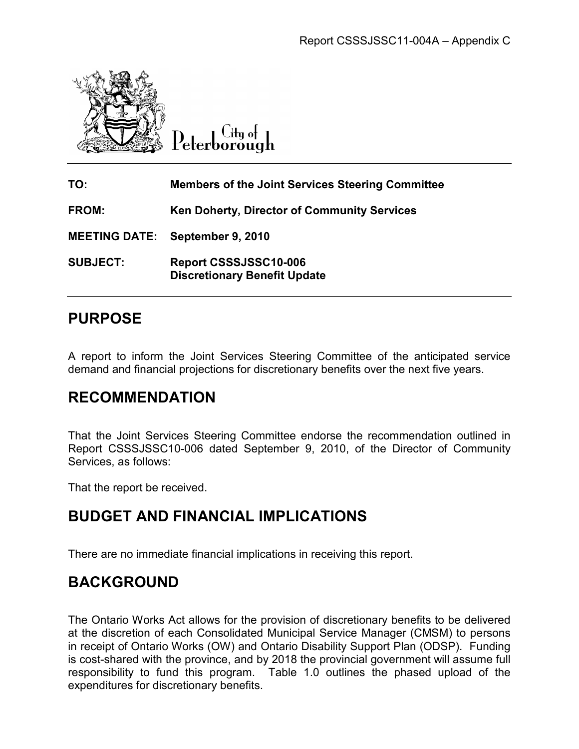

**TO: Members of the Joint Services Steering Committee Committee FROM: Ken Doherty, Director of Director of Community Services MEETING DATE: September 9, 2010 September 9, 2010 SUBJECT: Report CSSSJSSC10 CSSSJSSC10-006 Discretionary Benefit Update** Report CSSSJSSC11-004A – Appendix C<br> **Example 1980**<br> **Delivered Ontario Works (Ontario Works (Ontario Works (Ontario Works (Ontario Works (Ontario Works (ONTE:**<br> **Report CSSSJSSC10-006**<br> **Discretionary Benefit Update**<br> **PO** 

# **PURPOSE**

A report to inform the Joint Services Steering Committee of the anticipated service A report to inform the Joint Services Steering Committee of the anticipated se<br>demand and financial projections for discretionary benefits over the next five years.

## **RECOMMENDATION**

That the Joint Services Steering Committee endorse the recommendation outlined in Report CSSSJSSC10-006 dated September 9, 2010, of the Director of Community Services, as follows: That the Joint Services Steering Committee endorse the recommendation outlined<br>Report CSSSJSSC10-006 dated September 9, 2010, of the Director of Commun<br>Services, as follows:<br>That the report be received.<br>**BUDGET AND FINANCI** 

That the report be received.

## **BUDGET AND FINANCIAL IMPLICATIONS**

There are no immediate financial implications in receiving this report.

## **BACKGROUND**

The Ontario Works Act allows for the provision of discretionary benefits to be delivered at the discretion of each Consolidated Municipal Service Manager (CMSM) to persons in receipt of Ontario Works (OW) and Ontario Disability Support Plan (ODSP). Funding is cost-shared with the province, and by 2018 the provincial government will assume full responsibility to fund this program. Table 1.0 outlines the phased upload of the expenditures for discretionary benefits.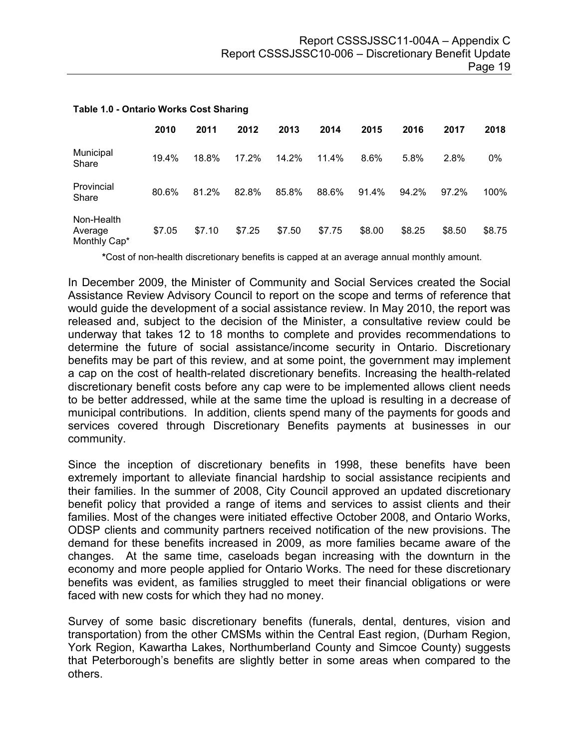|                                       | 2010   | 2011   | 2012   | 2013   | 2014   | 2015   | 2016   | 2017   | 2018   |
|---------------------------------------|--------|--------|--------|--------|--------|--------|--------|--------|--------|
| Municipal<br>Share                    | 19.4%  | 18.8%  | 17.2%  | 14.2%  | 11.4%  | 8.6%   | 5.8%   | 2.8%   | 0%     |
| Provincial<br>Share                   | 80.6%  | 81.2%  | 82.8%  | 85.8%  | 88.6%  | 91.4%  | 94.2%  | 97.2%  | 100%   |
| Non-Health<br>Average<br>Monthly Cap* | \$7.05 | \$7.10 | \$7.25 | \$7.50 | \$7.75 | \$8.00 | \$8.25 | \$8.50 | \$8.75 |

#### **Table 1.0 - Ontario Works Cost Sharing**

**\***Cost of non-health discretionary benefits is capped at an average annual monthly amount.

In December 2009, the Minister of Community and Social Services created the Social Assistance Review Advisory Council to report on the scope and terms of reference that would guide the development of a social assistance review. In May 2010, the report was released and, subject to the decision of the Minister, a consultative review could be underway that takes 12 to 18 months to complete and provides recommendations to determine the future of social assistance/income security in Ontario. Discretionary benefits may be part of this review, and at some point, the government may implement a cap on the cost of health-related discretionary benefits. Increasing the health-related discretionary benefit costs before any cap were to be implemented allows client needs to be better addressed, while at the same time the upload is resulting in a decrease of municipal contributions. In addition, clients spend many of the payments for goods and services covered through Discretionary Benefits payments at businesses in our community.

Since the inception of discretionary benefits in 1998, these benefits have been extremely important to alleviate financial hardship to social assistance recipients and their families. In the summer of 2008, City Council approved an updated discretionary benefit policy that provided a range of items and services to assist clients and their families. Most of the changes were initiated effective October 2008, and Ontario Works, ODSP clients and community partners received notification of the new provisions. The demand for these benefits increased in 2009, as more families became aware of the changes. At the same time, caseloads began increasing with the downturn in the economy and more people applied for Ontario Works. The need for these discretionary benefits was evident, as families struggled to meet their financial obligations or were faced with new costs for which they had no money.

Survey of some basic discretionary benefits (funerals, dental, dentures, vision and transportation) from the other CMSMs within the Central East region, (Durham Region, York Region, Kawartha Lakes, Northumberland County and Simcoe County) suggests that Peterborough's benefits are slightly better in some areas when compared to the others.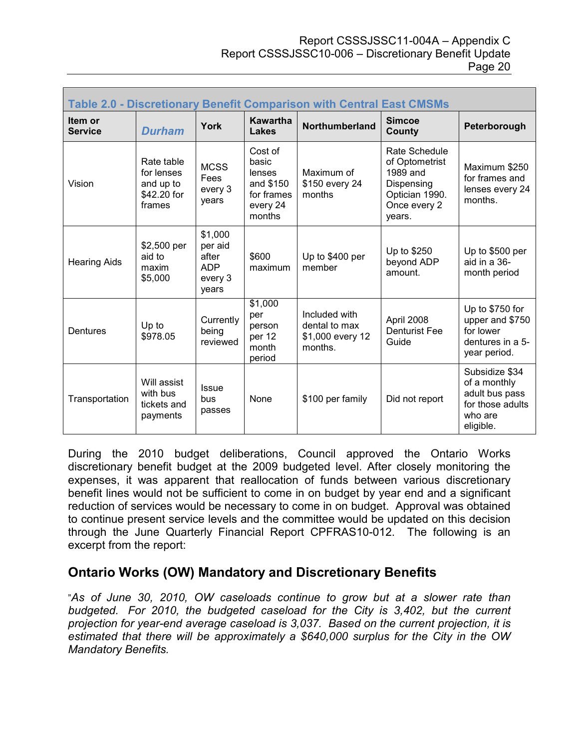#### Report CSSSJSSC11-004A – Appendix C Report CSSSJSSC10-006 – Discretionary Benefit Update Page 20

| <b>Table 2.0 - Discretionary Benefit Comparison with Central East CMSMs</b> |                                                                |                                                               |                                                                             |                                                               |                                                                                                       |                                                                                              |  |  |
|-----------------------------------------------------------------------------|----------------------------------------------------------------|---------------------------------------------------------------|-----------------------------------------------------------------------------|---------------------------------------------------------------|-------------------------------------------------------------------------------------------------------|----------------------------------------------------------------------------------------------|--|--|
| ltem or<br><b>Service</b>                                                   | <b>Durham</b>                                                  | <b>York</b>                                                   | <b>Kawartha</b><br><b>Lakes</b>                                             | Northumberland                                                | <b>Simcoe</b><br>County                                                                               | Peterborough                                                                                 |  |  |
| Vision                                                                      | Rate table<br>for lenses<br>and up to<br>\$42.20 for<br>frames | <b>MCSS</b><br>Fees<br>every 3<br>years                       | Cost of<br>basic<br>lenses<br>and \$150<br>for frames<br>every 24<br>months | Maximum of<br>\$150 every 24<br>months                        | Rate Schedule<br>of Optometrist<br>1989 and<br>Dispensing<br>Optician 1990.<br>Once every 2<br>vears. | Maximum \$250<br>for frames and<br>lenses every 24<br>months.                                |  |  |
| <b>Hearing Aids</b>                                                         | \$2,500 per<br>aid to<br>maxim<br>\$5,000                      | \$1,000<br>per aid<br>after<br><b>ADP</b><br>every 3<br>years | \$600<br>maximum                                                            | Up to \$400 per<br>member                                     | Up to \$250<br>beyond ADP<br>amount.                                                                  | Up to \$500 per<br>aid in a 36-<br>month period                                              |  |  |
| Dentures                                                                    | Up to<br>\$978.05                                              | Currently<br>being<br>reviewed                                | \$1,000<br>per<br>person<br>per 12<br>month<br>period                       | Included with<br>dental to max<br>\$1,000 every 12<br>months. | April 2008<br><b>Denturist Fee</b><br>Guide                                                           | Up to \$750 for<br>upper and \$750<br>for lower<br>dentures in a 5-<br>year period.          |  |  |
| Transportation                                                              | Will assist<br>with bus<br>tickets and<br>payments             | <b>Issue</b><br>bus<br>passes                                 | None                                                                        | \$100 per family                                              | Did not report                                                                                        | Subsidize \$34<br>of a monthly<br>adult bus pass<br>for those adults<br>who are<br>eligible. |  |  |

During the 2010 budget deliberations, Council approved the Ontario Works discretionary benefit budget at the 2009 budgeted level. After closely monitoring the expenses, it was apparent that reallocation of funds between various discretionary benefit lines would not be sufficient to come in on budget by year end and a significant reduction of services would be necessary to come in on budget. Approval was obtained to continue present service levels and the committee would be updated on this decision through the June Quarterly Financial Report CPFRAS10-012. The following is an excerpt from the report:

## **Ontario Works (OW) Mandatory and Discretionary Benefits**

"*As of June 30, 2010, OW caseloads continue to grow but at a slower rate than budgeted. For 2010, the budgeted caseload for the City is 3,402, but the current projection for year-end average caseload is 3,037. Based on the current projection, it is estimated that there will be approximately a \$640,000 surplus for the City in the OW Mandatory Benefits.*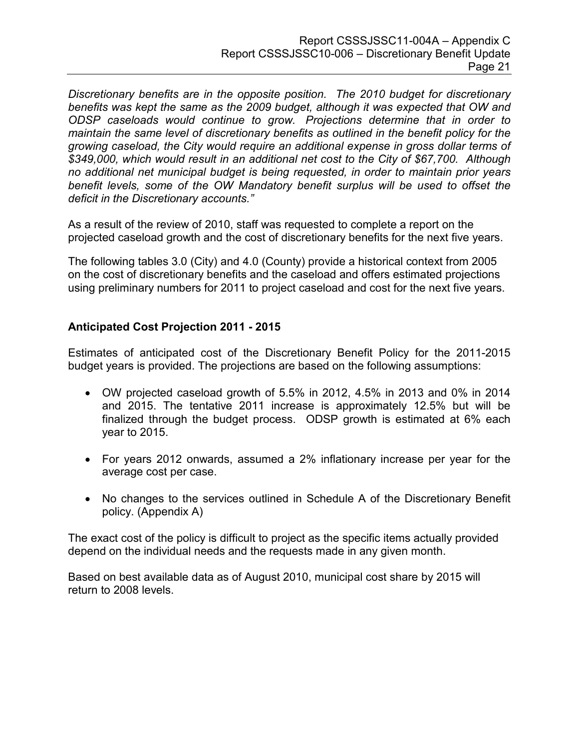*Discretionary benefits are in the opposite position. The 2010 budget for discretionary benefits was kept the same as the 2009 budget, although it was expected that OW and ODSP caseloads would continue to grow. Projections determine that in order to maintain the same level of discretionary benefits as outlined in the benefit policy for the growing caseload, the City would require an additional expense in gross dollar terms of \$349,000, which would result in an additional net cost to the City of \$67,700. Although no additional net municipal budget is being requested, in order to maintain prior years benefit levels, some of the OW Mandatory benefit surplus will be used to offset the deficit in the Discretionary accounts."* 

As a result of the review of 2010, staff was requested to complete a report on the projected caseload growth and the cost of discretionary benefits for the next five years.

The following tables 3.0 (City) and 4.0 (County) provide a historical context from 2005 on the cost of discretionary benefits and the caseload and offers estimated projections using preliminary numbers for 2011 to project caseload and cost for the next five years.

## **Anticipated Cost Projection 2011 - 2015**

Estimates of anticipated cost of the Discretionary Benefit Policy for the 2011-2015 budget years is provided. The projections are based on the following assumptions:

- OW projected caseload growth of 5.5% in 2012, 4.5% in 2013 and 0% in 2014 and 2015. The tentative 2011 increase is approximately 12.5% but will be finalized through the budget process. ODSP growth is estimated at 6% each year to 2015.
- For years 2012 onwards, assumed a 2% inflationary increase per year for the average cost per case.
- No changes to the services outlined in Schedule A of the Discretionary Benefit policy. (Appendix A)

The exact cost of the policy is difficult to project as the specific items actually provided depend on the individual needs and the requests made in any given month.

Based on best available data as of August 2010, municipal cost share by 2015 will return to 2008 levels.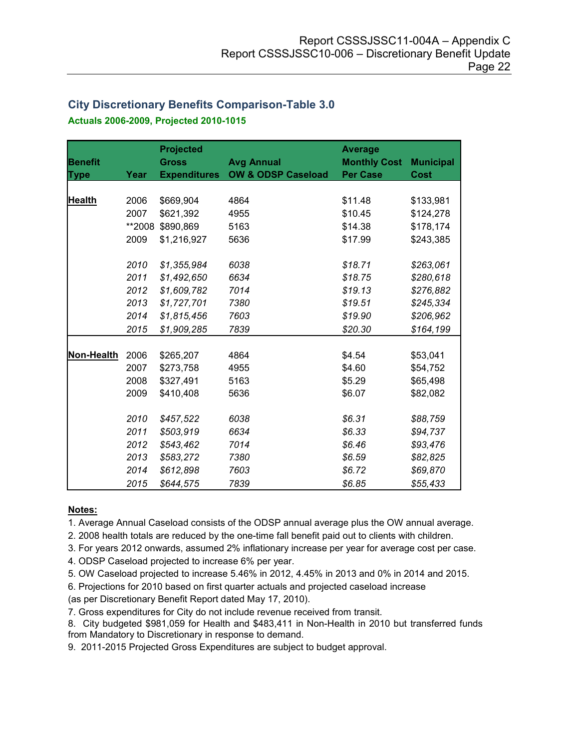## **City Discretionary Benefits Comparison-Table 3.0 Actuals 2006-2009, Projected 2010-1015**

|                |        | <b>Projected</b>    |                               | <b>Average</b>      |                  |
|----------------|--------|---------------------|-------------------------------|---------------------|------------------|
| <b>Benefit</b> |        | <b>Gross</b>        | <b>Avg Annual</b>             | <b>Monthly Cost</b> | <b>Municipal</b> |
| <b>Type</b>    | Year   | <b>Expenditures</b> | <b>OW &amp; ODSP Caseload</b> | <b>Per Case</b>     | Cost             |
|                |        |                     |                               |                     |                  |
| <b>Health</b>  | 2006   | \$669,904           | 4864                          | \$11.48             | \$133,981        |
|                | 2007   | \$621,392           | 4955                          | \$10.45             | \$124,278        |
|                | **2008 | \$890,869           | 5163                          | \$14.38             | \$178,174        |
|                | 2009   | \$1,216,927         | 5636                          | \$17.99             | \$243,385        |
|                |        |                     |                               |                     |                  |
|                | 2010   | \$1,355,984         | 6038                          | \$18.71             | \$263,061        |
|                | 2011   | \$1,492,650         | 6634                          | \$18.75             | \$280,618        |
|                | 2012   | \$1,609,782         | 7014                          | \$19.13             | \$276,882        |
|                | 2013   | \$1,727,701         | 7380                          | \$19.51             | \$245,334        |
|                | 2014   | \$1,815,456         | 7603                          | \$19.90             | \$206,962        |
|                | 2015   | \$1,909,285         | 7839                          | \$20.30             | \$164,199        |
|                |        |                     |                               |                     |                  |
| Non-Health     | 2006   | \$265,207           | 4864                          | \$4.54              | \$53,041         |
|                | 2007   | \$273,758           | 4955                          | \$4.60              | \$54,752         |
|                | 2008   | \$327,491           | 5163                          | \$5.29              | \$65,498         |
|                | 2009   | \$410,408           | 5636                          | \$6.07              | \$82,082         |
|                |        |                     |                               |                     |                  |
|                | 2010   | \$457,522           | 6038                          | \$6.31              | \$88,759         |
|                | 2011   | \$503,919           | 6634                          | \$6.33              | \$94,737         |
|                | 2012   | \$543,462           | 7014                          | \$6.46              | \$93,476         |
|                | 2013   | \$583,272           | 7380                          | \$6.59              | \$82,825         |
|                | 2014   | \$612,898           | 7603                          | \$6.72              | \$69,870         |
|                | 2015   | \$644,575           | 7839                          | \$6.85              | \$55,433         |

#### **Notes:**

1. Average Annual Caseload consists of the ODSP annual average plus the OW annual average.

2. 2008 health totals are reduced by the one-time fall benefit paid out to clients with children.

3. For years 2012 onwards, assumed 2% inflationary increase per year for average cost per case.

4. ODSP Caseload projected to increase 6% per year.

5. OW Caseload projected to increase 5.46% in 2012, 4.45% in 2013 and 0% in 2014 and 2015.

6. Projections for 2010 based on first quarter actuals and projected caseload increase

(as per Discretionary Benefit Report dated May 17, 2010).

7. Gross expenditures for City do not include revenue received from transit.

8. City budgeted \$981,059 for Health and \$483,411 in Non-Health in 2010 but transferred funds from Mandatory to Discretionary in response to demand.

9. 2011-2015 Projected Gross Expenditures are subject to budget approval.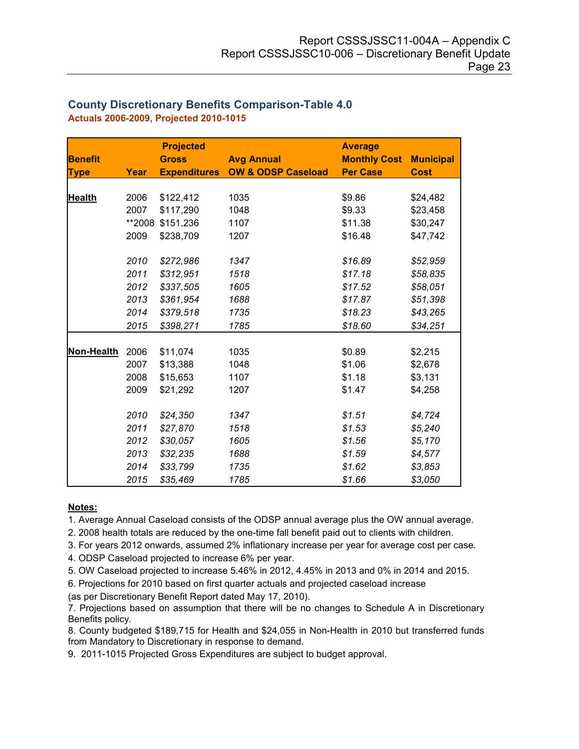|                |        | <b>Projected</b>    |                               | <b>Average</b>      |                  |
|----------------|--------|---------------------|-------------------------------|---------------------|------------------|
| <b>Benefit</b> |        | <b>Gross</b>        | <b>Avg Annual</b>             | <b>Monthly Cost</b> | <b>Municipal</b> |
| <b>Type</b>    | Year   | <b>Expenditures</b> | <b>OW &amp; ODSP Caseload</b> | <b>Per Case</b>     | <b>Cost</b>      |
|                |        |                     |                               |                     |                  |
| <b>Health</b>  | 2006   | \$122,412           | 1035                          | \$9.86              | \$24,482         |
|                | 2007   | \$117,290           | 1048                          | \$9.33              | \$23,458         |
|                | **2008 | \$151,236           | 1107                          | \$11.38             | \$30,247         |
|                | 2009   | \$238,709           | 1207                          | \$16.48             | \$47,742         |
|                |        |                     |                               |                     |                  |
|                | 2010   | \$272,986           | 1347                          | \$16.89             | \$52,959         |
|                | 2011   | \$312,951           | 1518                          | \$17.18             | \$58,835         |
|                | 2012   | \$337,505           | 1605                          | \$17.52             | \$58,051         |
|                | 2013   | \$361,954           | 1688                          | \$17.87             | \$51,398         |
|                | 2014   | \$379,518           | 1735                          | \$18.23             | \$43,265         |
|                | 2015   | \$398,271           | 1785                          | \$18.60             | \$34,251         |
|                | 2006   |                     | 1035                          |                     |                  |
| Non-Health     | 2007   | \$11,074            |                               | \$0.89              | \$2,215          |
|                |        | \$13,388            | 1048                          | \$1.06              | \$2,678          |
|                | 2008   | \$15,653            | 1107                          | \$1.18              | \$3,131          |
|                | 2009   | \$21,292            | 1207                          | \$1.47              | \$4,258          |
|                | 2010   | \$24,350            | 1347                          | \$1.51              | \$4,724          |
|                | 2011   | \$27,870            | 1518                          | \$1.53              | \$5,240          |
|                | 2012   | \$30,057            | 1605                          | \$1.56              | \$5,170          |
|                | 2013   | \$32,235            | 1688                          | \$1.59              | \$4,577          |
|                | 2014   | \$33,799            | 1735                          | \$1.62              | \$3,853          |
|                | 2015   | \$35,469            | 1785                          | \$1.66              | \$3,050          |

#### **County Discretionary Benefits Comparison-Table 4.0 Actuals 2006-2009, Projected 2010-1015**

#### **Notes:**

1. Average Annual Caseload consists of the ODSP annual average plus the OW annual average.

2. 2008 health totals are reduced by the one-time fall benefit paid out to clients with children.

3. For years 2012 onwards, assumed 2% inflationary increase per year for average cost per case.

4. ODSP Caseload projected to increase 6% per year.

5. OW Caseload projected to increase 5.46% in 2012, 4.45% in 2013 and 0% in 2014 and 2015.

6. Projections for 2010 based on first quarter actuals and projected caseload increase

(as per Discretionary Benefit Report dated May 17, 2010).

7. Projections based on assumption that there will be no changes to Schedule A in Discretionary Benefits policy.

8. County budgeted \$189,715 for Health and \$24,055 in Non-Health in 2010 but transferred funds from Mandatory to Discretionary in response to demand.

9. 2011-1015 Projected Gross Expenditures are subject to budget approval.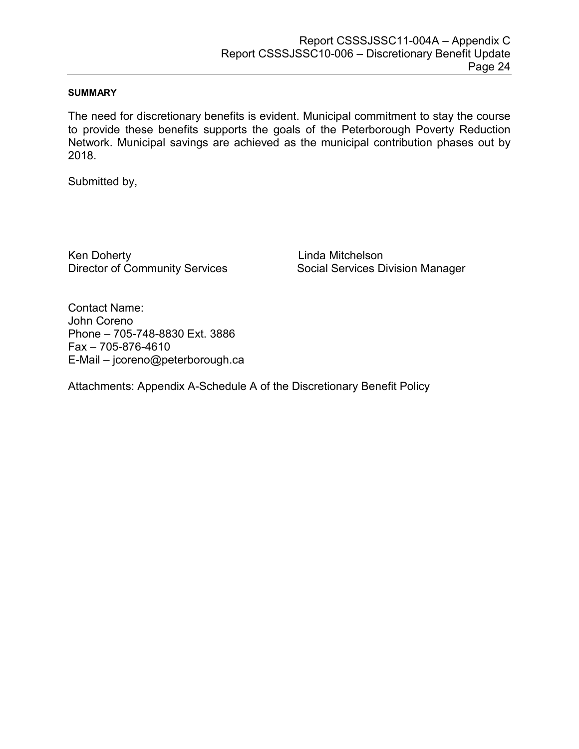#### **SUMMARY**

The need for discretionary benefits is evident. Municipal commitment to stay the course to provide these benefits supports the goals of the Peterborough Poverty Reduction Network. Municipal savings are achieved as the municipal contribution phases out by 2018.

Submitted by,

Ken DohertyLinda Mitchelson

Director of Community ServicesSocial Services Division Manager

Contact Name: John Coreno Phone – 705-748-8830 Ext. 3886 Fax – 705-876-4610 E-Mail – jcoreno@peterborough.ca

Attachments: Appendix A-Schedule A of the Discretionary Benefit Policy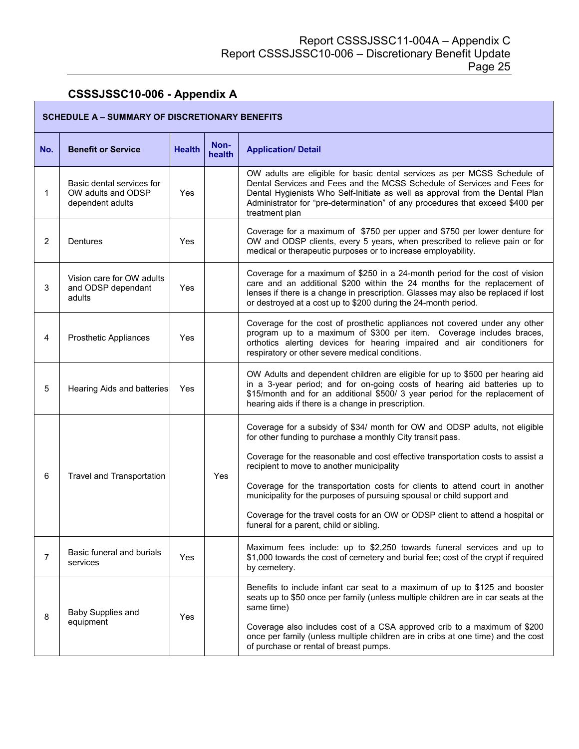## **CSSSJSSC10-006 - Appendix A**

Г

| <b>SCHEDULE A - SUMMARY OF DISCRETIONARY BENEFITS</b> |                                                                     |               |                |                                                                                                                                                                                                                                                                                                                                                                                                                                                                                                                                                                 |  |  |
|-------------------------------------------------------|---------------------------------------------------------------------|---------------|----------------|-----------------------------------------------------------------------------------------------------------------------------------------------------------------------------------------------------------------------------------------------------------------------------------------------------------------------------------------------------------------------------------------------------------------------------------------------------------------------------------------------------------------------------------------------------------------|--|--|
| No.                                                   | <b>Benefit or Service</b>                                           | <b>Health</b> | Non-<br>health | <b>Application/ Detail</b>                                                                                                                                                                                                                                                                                                                                                                                                                                                                                                                                      |  |  |
| 1                                                     | Basic dental services for<br>OW adults and ODSP<br>dependent adults | Yes           |                | OW adults are eligible for basic dental services as per MCSS Schedule of<br>Dental Services and Fees and the MCSS Schedule of Services and Fees for<br>Dental Hygienists Who Self-Initiate as well as approval from the Dental Plan<br>Administrator for "pre-determination" of any procedures that exceed \$400 per<br>treatment plan                                                                                                                                                                                                                          |  |  |
| $\overline{c}$                                        | Dentures                                                            | Yes           |                | Coverage for a maximum of \$750 per upper and \$750 per lower denture for<br>OW and ODSP clients, every 5 years, when prescribed to relieve pain or for<br>medical or therapeutic purposes or to increase employability.                                                                                                                                                                                                                                                                                                                                        |  |  |
| 3                                                     | Vision care for OW adults<br>and ODSP dependant<br>adults           | Yes           |                | Coverage for a maximum of \$250 in a 24-month period for the cost of vision<br>care and an additional \$200 within the 24 months for the replacement of<br>lenses if there is a change in prescription. Glasses may also be replaced if lost<br>or destroyed at a cost up to \$200 during the 24-month period.                                                                                                                                                                                                                                                  |  |  |
| 4                                                     | <b>Prosthetic Appliances</b>                                        | Yes           |                | Coverage for the cost of prosthetic appliances not covered under any other<br>program up to a maximum of \$300 per item. Coverage includes braces,<br>orthotics alerting devices for hearing impaired and air conditioners for<br>respiratory or other severe medical conditions.                                                                                                                                                                                                                                                                               |  |  |
| 5                                                     | Hearing Aids and batteries                                          | Yes           |                | OW Adults and dependent children are eligible for up to \$500 per hearing aid<br>in a 3-year period; and for on-going costs of hearing aid batteries up to<br>\$15/month and for an additional \$500/ 3 year period for the replacement of<br>hearing aids if there is a change in prescription.                                                                                                                                                                                                                                                                |  |  |
| 6                                                     | Travel and Transportation                                           |               | Yes            | Coverage for a subsidy of \$34/ month for OW and ODSP adults, not eligible<br>for other funding to purchase a monthly City transit pass.<br>Coverage for the reasonable and cost effective transportation costs to assist a<br>recipient to move to another municipality<br>Coverage for the transportation costs for clients to attend court in another<br>municipality for the purposes of pursuing spousal or child support and<br>Coverage for the travel costs for an OW or ODSP client to attend a hospital or<br>funeral for a parent, child or sibling. |  |  |
| $\overline{7}$                                        | Basic funeral and burials<br>services                               | Yes           |                | Maximum fees include: up to \$2,250 towards funeral services and up to<br>\$1,000 towards the cost of cemetery and burial fee; cost of the crypt if required<br>by cemetery.                                                                                                                                                                                                                                                                                                                                                                                    |  |  |
| 8                                                     | Baby Supplies and<br>equipment                                      | Yes           |                | Benefits to include infant car seat to a maximum of up to \$125 and booster<br>seats up to \$50 once per family (unless multiple children are in car seats at the<br>same time)<br>Coverage also includes cost of a CSA approved crib to a maximum of \$200<br>once per family (unless multiple children are in cribs at one time) and the cost<br>of purchase or rental of breast pumps.                                                                                                                                                                       |  |  |